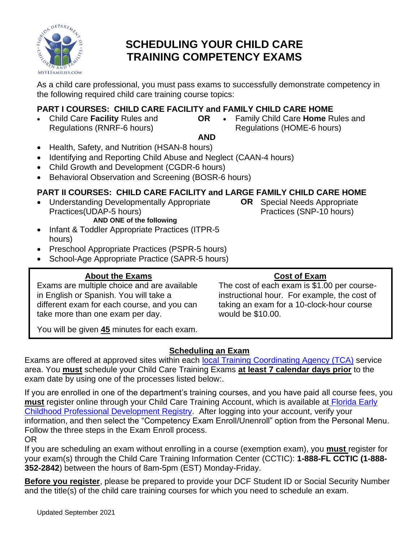

# **SCHEDULING YOUR CHILD CARE TRAINING COMPETENCY EXAMS**

As a child care professional, you must pass exams to successfully demonstrate competency in the following required child care training course topics:

#### **PART I COURSES: CHILD CARE FACILITY and FAMILY CHILD CARE HOME**

- Child Care **Facility** Rules and Regulations (RNRF-6 hours)
- **OR** Family Child Care **Home** Rules and Regulations (HOME-6 hours)

#### **AND**

- Health, Safety, and Nutrition (HSAN-8 hours)
- Identifying and Reporting Child Abuse and Neglect (CAAN-4 hours)
- Child Growth and Development (CGDR-6 hours)
- Behavioral Observation and Screening (BOSR-6 hours)

## **PART II COURSES: CHILD CARE FACILITY and LARGE FAMILY CHILD CARE HOME**

- Understanding Developmentally Appropriate Practices(UDAP-5 hours)
	- **AND ONE of the following**
- Infant & Toddler Appropriate Practices (ITPR-5 hours)
- Preschool Appropriate Practices (PSPR-5 hours)
- School-Age Appropriate Practice (SAPR-5 hours)

## **About the Exams**

Exams are multiple choice and are available in English or Spanish. You will take a different exam for each course, and you can take more than one exam per day.

**OR**• Special Needs Appropriate Practices (SNP-10 hours)

#### **Cost of Exam**

The cost of each exam is \$1.00 per courseinstructional hour. For example, the cost of taking an exam for a 10-clock-hour course would be \$10.00.

You will be given **45** minutes for each exam.

## **Scheduling an Exam**

Exams are offered at approved sites within each [local Training Coordinating Agency \(TCA\)](https://www.myflfamilies.com/service-programs/child-care/docs/CHILD%20CARE%20TRAINING%20COORDINATORS.pdf?d=2021-9-22) service area. You **must** schedule your Child Care Training Exams **at least 7 calendar days prior** to the exam date by using one of the processes listed below:.

If you are enrolled in one of the department's training courses, and you have paid all course fees, you **must** register online through your Child Care Training Account, which is available at [Florida Early](https://training01-dcf.myflorida.com/studentsite/admin/signin)  [Childhood Professional Development Registry.](https://training01-dcf.myflorida.com/studentsite/admin/signin) After logging into your account, verify your information, and then select the "Competency Exam Enroll/Unenroll" option from the Personal Menu. Follow the three steps in the Exam Enroll process. OR

If you are scheduling an exam without enrolling in a course (exemption exam), you **must** register for your exam(s) through the Child Care Training Information Center (CCTIC): **1-888-FL CCTIC (1-888- 352-2842**) between the hours of 8am-5pm (EST) Monday-Friday.

**Before you register**, please be prepared to provide your DCF Student ID or Social Security Number and the title(s) of the child care training courses for which you need to schedule an exam.